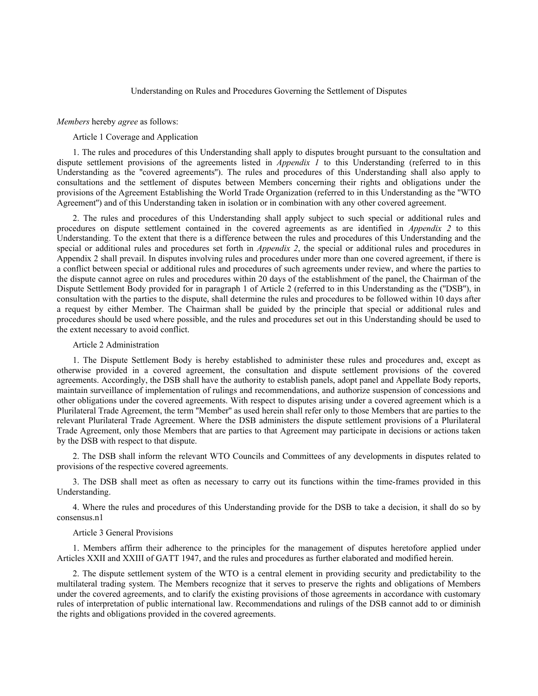# Understanding on Rules and Procedures Governing the Settlement of Disputes

### *Members* hereby *agree* as follows:

Article 1 Coverage and Application

1. The rules and procedures of this Understanding shall apply to disputes brought pursuant to the consultation and dispute settlement provisions of the agreements listed in *Appendix 1* to this Understanding (referred to in this Understanding as the ''covered agreements''). The rules and procedures of this Understanding shall also apply to consultations and the settlement of disputes between Members concerning their rights and obligations under the provisions of the Agreement Establishing the World Trade Organization (referred to in this Understanding as the ''WTO Agreement'') and of this Understanding taken in isolation or in combination with any other covered agreement.

2. The rules and procedures of this Understanding shall apply subject to such special or additional rules and procedures on dispute settlement contained in the covered agreements as are identified in *Appendix 2* to this Understanding. To the extent that there is a difference between the rules and procedures of this Understanding and the special or additional rules and procedures set forth in *Appendix 2*, the special or additional rules and procedures in Appendix 2 shall prevail. In disputes involving rules and procedures under more than one covered agreement, if there is a conflict between special or additional rules and procedures of such agreements under review, and where the parties to the dispute cannot agree on rules and procedures within 20 days of the establishment of the panel, the Chairman of the Dispute Settlement Body provided for in paragraph 1 of Article 2 (referred to in this Understanding as the (''DSB''), in consultation with the parties to the dispute, shall determine the rules and procedures to be followed within 10 days after a request by either Member. The Chairman shall be guided by the principle that special or additional rules and procedures should be used where possible, and the rules and procedures set out in this Understanding should be used to the extent necessary to avoid conflict.

## Article 2 Administration

1. The Dispute Settlement Body is hereby established to administer these rules and procedures and, except as otherwise provided in a covered agreement, the consultation and dispute settlement provisions of the covered agreements. Accordingly, the DSB shall have the authority to establish panels, adopt panel and Appellate Body reports, maintain surveillance of implementation of rulings and recommendations, and authorize suspension of concessions and other obligations under the covered agreements. With respect to disputes arising under a covered agreement which is a Plurilateral Trade Agreement, the term ''Member'' as used herein shall refer only to those Members that are parties to the relevant Plurilateral Trade Agreement. Where the DSB administers the dispute settlement provisions of a Plurilateral Trade Agreement, only those Members that are parties to that Agreement may participate in decisions or actions taken by the DSB with respect to that dispute.

2. The DSB shall inform the relevant WTO Councils and Committees of any developments in disputes related to provisions of the respective covered agreements.

3. The DSB shall meet as often as necessary to carry out its functions within the time-frames provided in this Understanding.

4. Where the rules and procedures of this Understanding provide for the DSB to take a decision, it shall do so by consensus.n1

#### Article 3 General Provisions

1. Members affirm their adherence to the principles for the management of disputes heretofore applied under Articles XXII and XXIII of GATT 1947, and the rules and procedures as further elaborated and modified herein.

2. The dispute settlement system of the WTO is a central element in providing security and predictability to the multilateral trading system. The Members recognize that it serves to preserve the rights and obligations of Members under the covered agreements, and to clarify the existing provisions of those agreements in accordance with customary rules of interpretation of public international law. Recommendations and rulings of the DSB cannot add to or diminish the rights and obligations provided in the covered agreements.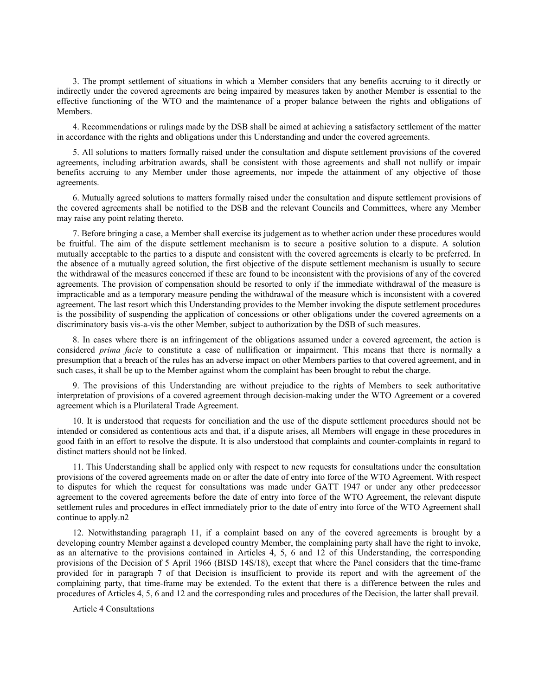3. The prompt settlement of situations in which a Member considers that any benefits accruing to it directly or indirectly under the covered agreements are being impaired by measures taken by another Member is essential to the effective functioning of the WTO and the maintenance of a proper balance between the rights and obligations of Members.

4. Recommendations or rulings made by the DSB shall be aimed at achieving a satisfactory settlement of the matter in accordance with the rights and obligations under this Understanding and under the covered agreements.

5. All solutions to matters formally raised under the consultation and dispute settlement provisions of the covered agreements, including arbitration awards, shall be consistent with those agreements and shall not nullify or impair benefits accruing to any Member under those agreements, nor impede the attainment of any objective of those agreements.

6. Mutually agreed solutions to matters formally raised under the consultation and dispute settlement provisions of the covered agreements shall be notified to the DSB and the relevant Councils and Committees, where any Member may raise any point relating thereto.

7. Before bringing a case, a Member shall exercise its judgement as to whether action under these procedures would be fruitful. The aim of the dispute settlement mechanism is to secure a positive solution to a dispute. A solution mutually acceptable to the parties to a dispute and consistent with the covered agreements is clearly to be preferred. In the absence of a mutually agreed solution, the first objective of the dispute settlement mechanism is usually to secure the withdrawal of the measures concerned if these are found to be inconsistent with the provisions of any of the covered agreements. The provision of compensation should be resorted to only if the immediate withdrawal of the measure is impracticable and as a temporary measure pending the withdrawal of the measure which is inconsistent with a covered agreement. The last resort which this Understanding provides to the Member invoking the dispute settlement procedures is the possibility of suspending the application of concessions or other obligations under the covered agreements on a discriminatory basis vis-a-vis the other Member, subject to authorization by the DSB of such measures.

8. In cases where there is an infringement of the obligations assumed under a covered agreement, the action is considered *prima facie* to constitute a case of nullification or impairment. This means that there is normally a presumption that a breach of the rules has an adverse impact on other Members parties to that covered agreement, and in such cases, it shall be up to the Member against whom the complaint has been brought to rebut the charge.

9. The provisions of this Understanding are without prejudice to the rights of Members to seek authoritative interpretation of provisions of a covered agreement through decision-making under the WTO Agreement or a covered agreement which is a Plurilateral Trade Agreement.

10. It is understood that requests for conciliation and the use of the dispute settlement procedures should not be intended or considered as contentious acts and that, if a dispute arises, all Members will engage in these procedures in good faith in an effort to resolve the dispute. It is also understood that complaints and counter-complaints in regard to distinct matters should not be linked.

11. This Understanding shall be applied only with respect to new requests for consultations under the consultation provisions of the covered agreements made on or after the date of entry into force of the WTO Agreement. With respect to disputes for which the request for consultations was made under GATT 1947 or under any other predecessor agreement to the covered agreements before the date of entry into force of the WTO Agreement, the relevant dispute settlement rules and procedures in effect immediately prior to the date of entry into force of the WTO Agreement shall continue to apply.n2

12. Notwithstanding paragraph 11, if a complaint based on any of the covered agreements is brought by a developing country Member against a developed country Member, the complaining party shall have the right to invoke, as an alternative to the provisions contained in Articles 4, 5, 6 and 12 of this Understanding, the corresponding provisions of the Decision of 5 April 1966 (BISD 14S/18), except that where the Panel considers that the time-frame provided for in paragraph 7 of that Decision is insufficient to provide its report and with the agreement of the complaining party, that time-frame may be extended. To the extent that there is a difference between the rules and procedures of Articles 4, 5, 6 and 12 and the corresponding rules and procedures of the Decision, the latter shall prevail.

Article 4 Consultations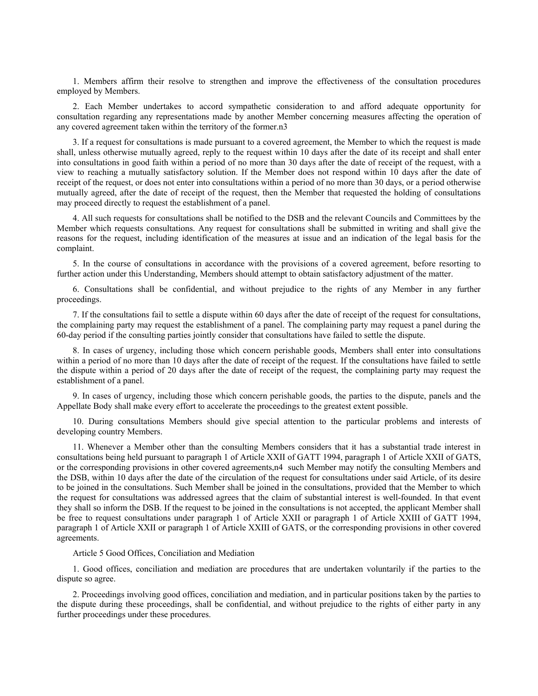1. Members affirm their resolve to strengthen and improve the effectiveness of the consultation procedures employed by Members.

2. Each Member undertakes to accord sympathetic consideration to and afford adequate opportunity for consultation regarding any representations made by another Member concerning measures affecting the operation of any covered agreement taken within the territory of the former.n3

3. If a request for consultations is made pursuant to a covered agreement, the Member to which the request is made shall, unless otherwise mutually agreed, reply to the request within 10 days after the date of its receipt and shall enter into consultations in good faith within a period of no more than 30 days after the date of receipt of the request, with a view to reaching a mutually satisfactory solution. If the Member does not respond within 10 days after the date of receipt of the request, or does not enter into consultations within a period of no more than 30 days, or a period otherwise mutually agreed, after the date of receipt of the request, then the Member that requested the holding of consultations may proceed directly to request the establishment of a panel.

4. All such requests for consultations shall be notified to the DSB and the relevant Councils and Committees by the Member which requests consultations. Any request for consultations shall be submitted in writing and shall give the reasons for the request, including identification of the measures at issue and an indication of the legal basis for the complaint.

5. In the course of consultations in accordance with the provisions of a covered agreement, before resorting to further action under this Understanding, Members should attempt to obtain satisfactory adjustment of the matter.

6. Consultations shall be confidential, and without prejudice to the rights of any Member in any further proceedings.

7. If the consultations fail to settle a dispute within 60 days after the date of receipt of the request for consultations, the complaining party may request the establishment of a panel. The complaining party may request a panel during the 60-day period if the consulting parties jointly consider that consultations have failed to settle the dispute.

8. In cases of urgency, including those which concern perishable goods, Members shall enter into consultations within a period of no more than 10 days after the date of receipt of the request. If the consultations have failed to settle the dispute within a period of 20 days after the date of receipt of the request, the complaining party may request the establishment of a panel.

9. In cases of urgency, including those which concern perishable goods, the parties to the dispute, panels and the Appellate Body shall make every effort to accelerate the proceedings to the greatest extent possible.

10. During consultations Members should give special attention to the particular problems and interests of developing country Members.

11. Whenever a Member other than the consulting Members considers that it has a substantial trade interest in consultations being held pursuant to paragraph 1 of Article XXII of GATT 1994, paragraph 1 of Article XXII of GATS, or the corresponding provisions in other covered agreements,n4 such Member may notify the consulting Members and the DSB, within 10 days after the date of the circulation of the request for consultations under said Article, of its desire to be joined in the consultations. Such Member shall be joined in the consultations, provided that the Member to which the request for consultations was addressed agrees that the claim of substantial interest is well-founded. In that event they shall so inform the DSB. If the request to be joined in the consultations is not accepted, the applicant Member shall be free to request consultations under paragraph 1 of Article XXII or paragraph 1 of Article XXIII of GATT 1994, paragraph 1 of Article XXII or paragraph 1 of Article XXIII of GATS, or the corresponding provisions in other covered agreements.

# Article 5 Good Offices, Conciliation and Mediation

1. Good offices, conciliation and mediation are procedures that are undertaken voluntarily if the parties to the dispute so agree.

2. Proceedings involving good offices, conciliation and mediation, and in particular positions taken by the parties to the dispute during these proceedings, shall be confidential, and without prejudice to the rights of either party in any further proceedings under these procedures.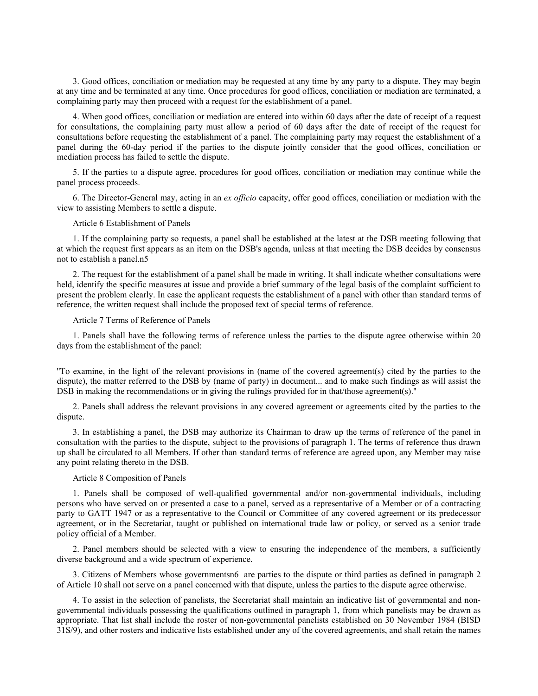3. Good offices, conciliation or mediation may be requested at any time by any party to a dispute. They may begin at any time and be terminated at any time. Once procedures for good offices, conciliation or mediation are terminated, a complaining party may then proceed with a request for the establishment of a panel.

4. When good offices, conciliation or mediation are entered into within 60 days after the date of receipt of a request for consultations, the complaining party must allow a period of 60 days after the date of receipt of the request for consultations before requesting the establishment of a panel. The complaining party may request the establishment of a panel during the 60-day period if the parties to the dispute jointly consider that the good offices, conciliation or mediation process has failed to settle the dispute.

5. If the parties to a dispute agree, procedures for good offices, conciliation or mediation may continue while the panel process proceeds.

6. The Director-General may, acting in an *ex officio* capacity, offer good offices, conciliation or mediation with the view to assisting Members to settle a dispute.

Article 6 Establishment of Panels

1. If the complaining party so requests, a panel shall be established at the latest at the DSB meeting following that at which the request first appears as an item on the DSB's agenda, unless at that meeting the DSB decides by consensus not to establish a panel.n5

2. The request for the establishment of a panel shall be made in writing. It shall indicate whether consultations were held, identify the specific measures at issue and provide a brief summary of the legal basis of the complaint sufficient to present the problem clearly. In case the applicant requests the establishment of a panel with other than standard terms of reference, the written request shall include the proposed text of special terms of reference.

Article 7 Terms of Reference of Panels

1. Panels shall have the following terms of reference unless the parties to the dispute agree otherwise within 20 days from the establishment of the panel:

''To examine, in the light of the relevant provisions in (name of the covered agreement(s) cited by the parties to the dispute), the matter referred to the DSB by (name of party) in document... and to make such findings as will assist the DSB in making the recommendations or in giving the rulings provided for in that/those agreement(s).''

2. Panels shall address the relevant provisions in any covered agreement or agreements cited by the parties to the dispute.

3. In establishing a panel, the DSB may authorize its Chairman to draw up the terms of reference of the panel in consultation with the parties to the dispute, subject to the provisions of paragraph 1. The terms of reference thus drawn up shall be circulated to all Members. If other than standard terms of reference are agreed upon, any Member may raise any point relating thereto in the DSB.

# Article 8 Composition of Panels

1. Panels shall be composed of well-qualified governmental and/or non-governmental individuals, including persons who have served on or presented a case to a panel, served as a representative of a Member or of a contracting party to GATT 1947 or as a representative to the Council or Committee of any covered agreement or its predecessor agreement, or in the Secretariat, taught or published on international trade law or policy, or served as a senior trade policy official of a Member.

2. Panel members should be selected with a view to ensuring the independence of the members, a sufficiently diverse background and a wide spectrum of experience.

3. Citizens of Members whose governmentsn6 are parties to the dispute or third parties as defined in paragraph 2 of Article 10 shall not serve on a panel concerned with that dispute, unless the parties to the dispute agree otherwise.

4. To assist in the selection of panelists, the Secretariat shall maintain an indicative list of governmental and nongovernmental individuals possessing the qualifications outlined in paragraph 1, from which panelists may be drawn as appropriate. That list shall include the roster of non-governmental panelists established on 30 November 1984 (BISD 31S/9), and other rosters and indicative lists established under any of the covered agreements, and shall retain the names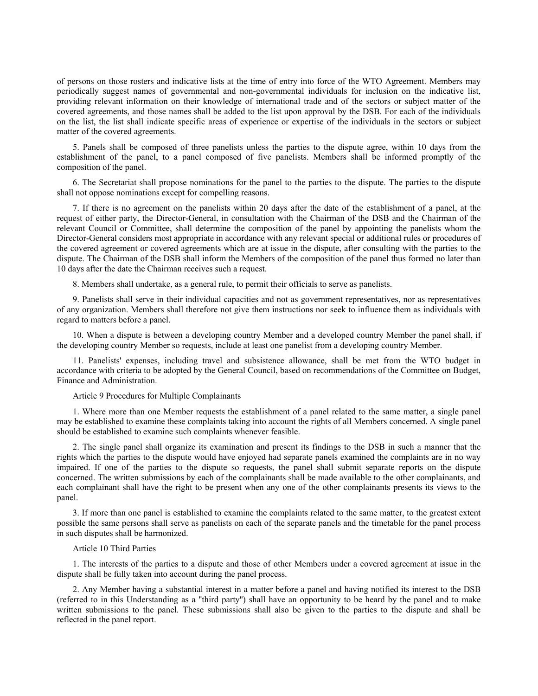of persons on those rosters and indicative lists at the time of entry into force of the WTO Agreement. Members may periodically suggest names of governmental and non-governmental individuals for inclusion on the indicative list, providing relevant information on their knowledge of international trade and of the sectors or subject matter of the covered agreements, and those names shall be added to the list upon approval by the DSB. For each of the individuals on the list, the list shall indicate specific areas of experience or expertise of the individuals in the sectors or subject matter of the covered agreements.

5. Panels shall be composed of three panelists unless the parties to the dispute agree, within 10 days from the establishment of the panel, to a panel composed of five panelists. Members shall be informed promptly of the composition of the panel.

6. The Secretariat shall propose nominations for the panel to the parties to the dispute. The parties to the dispute shall not oppose nominations except for compelling reasons.

7. If there is no agreement on the panelists within 20 days after the date of the establishment of a panel, at the request of either party, the Director-General, in consultation with the Chairman of the DSB and the Chairman of the relevant Council or Committee, shall determine the composition of the panel by appointing the panelists whom the Director-General considers most appropriate in accordance with any relevant special or additional rules or procedures of the covered agreement or covered agreements which are at issue in the dispute, after consulting with the parties to the dispute. The Chairman of the DSB shall inform the Members of the composition of the panel thus formed no later than 10 days after the date the Chairman receives such a request.

8. Members shall undertake, as a general rule, to permit their officials to serve as panelists.

9. Panelists shall serve in their individual capacities and not as government representatives, nor as representatives of any organization. Members shall therefore not give them instructions nor seek to influence them as individuals with regard to matters before a panel.

10. When a dispute is between a developing country Member and a developed country Member the panel shall, if the developing country Member so requests, include at least one panelist from a developing country Member.

11. Panelists' expenses, including travel and subsistence allowance, shall be met from the WTO budget in accordance with criteria to be adopted by the General Council, based on recommendations of the Committee on Budget, Finance and Administration.

# Article 9 Procedures for Multiple Complainants

1. Where more than one Member requests the establishment of a panel related to the same matter, a single panel may be established to examine these complaints taking into account the rights of all Members concerned. A single panel should be established to examine such complaints whenever feasible.

2. The single panel shall organize its examination and present its findings to the DSB in such a manner that the rights which the parties to the dispute would have enjoyed had separate panels examined the complaints are in no way impaired. If one of the parties to the dispute so requests, the panel shall submit separate reports on the dispute concerned. The written submissions by each of the complainants shall be made available to the other complainants, and each complainant shall have the right to be present when any one of the other complainants presents its views to the panel.

3. If more than one panel is established to examine the complaints related to the same matter, to the greatest extent possible the same persons shall serve as panelists on each of the separate panels and the timetable for the panel process in such disputes shall be harmonized.

### Article 10 Third Parties

1. The interests of the parties to a dispute and those of other Members under a covered agreement at issue in the dispute shall be fully taken into account during the panel process.

2. Any Member having a substantial interest in a matter before a panel and having notified its interest to the DSB (referred to in this Understanding as a ''third party'') shall have an opportunity to be heard by the panel and to make written submissions to the panel. These submissions shall also be given to the parties to the dispute and shall be reflected in the panel report.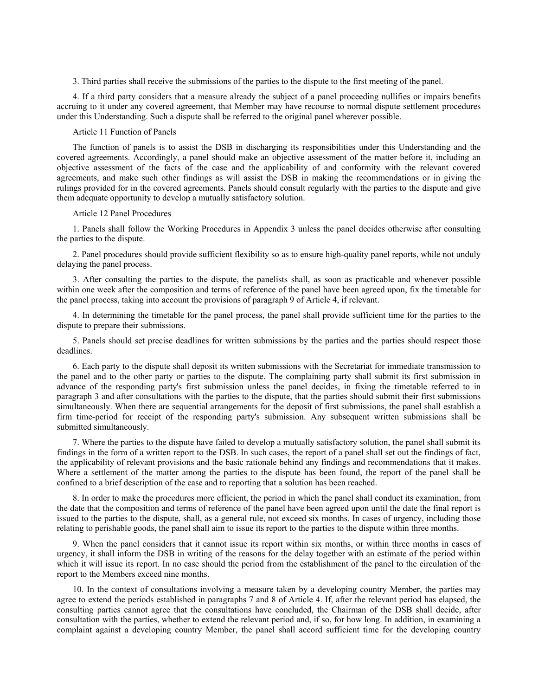3. Third parties shall receive the submissions of the parties to the dispute to the first meeting of the panel.

4. If a third party considers that a measure already the subject of a panel proceeding nullifies or impairs benefits accruing to it under any covered agreement, that Member may have recourse to normal dispute settlement procedures under this Understanding. Such a dispute shall be referred to the original panel wherever possible.

# Article 11 Function of Panels

The function of panels is to assist the DSB in discharging its responsibilities under this Understanding and the covered agreements. Accordingly, a panel should make an objective assessment of the matter before it, including an objective assessment of the facts of the case and the applicability of and conformity with the relevant covered agreements, and make such other findings as will assist the DSB in making the recommendations or in giving the rulings provided for in the covered agreements. Panels should consult regularly with the parties to the dispute and give them adequate opportunity to develop a mutually satisfactory solution.

# Article 12 Panel Procedures

1. Panels shall follow the Working Procedures in Appendix 3 unless the panel decides otherwise after consulting the parties to the dispute.

2. Panel procedures should provide sufficient flexibility so as to ensure high-quality panel reports, while not unduly delaying the panel process.

3. After consulting the parties to the dispute, the panelists shall, as soon as practicable and whenever possible within one week after the composition and terms of reference of the panel have been agreed upon, fix the timetable for the panel process, taking into account the provisions of paragraph 9 of Article 4, if relevant.

4. In determining the timetable for the panel process, the panel shall provide sufficient time for the parties to the dispute to prepare their submissions.

5. Panels should set precise deadlines for written submissions by the parties and the parties should respect those deadlines.

6. Each party to the dispute shall deposit its written submissions with the Secretariat for immediate transmission to the panel and to the other party or parties to the dispute. The complaining party shall submit its first submission in advance of the responding party's first submission unless the panel decides, in fixing the timetable referred to in paragraph 3 and after consultations with the parties to the dispute, that the parties should submit their first submissions simultaneously. When there are sequential arrangements for the deposit of first submissions, the panel shall establish a firm time-period for receipt of the responding party's submission. Any subsequent written submissions shall be submitted simultaneously.

7. Where the parties to the dispute have failed to develop a mutually satisfactory solution, the panel shall submit its findings in the form of a written report to the DSB. In such cases, the report of a panel shall set out the findings of fact, the applicability of relevant provisions and the basic rationale behind any findings and recommendations that it makes. Where a settlement of the matter among the parties to the dispute has been found, the report of the panel shall be confined to a brief description of the case and to reporting that a solution has been reached.

8. In order to make the procedures more efficient, the period in which the panel shall conduct its examination, from the date that the composition and terms of reference of the panel have been agreed upon until the date the final report is issued to the parties to the dispute, shall, as a general rule, not exceed six months. In cases of urgency, including those relating to perishable goods, the panel shall aim to issue its report to the parties to the dispute within three months.

9. When the panel considers that it cannot issue its report within six months, or within three months in cases of urgency, it shall inform the DSB in writing of the reasons for the delay together with an estimate of the period within which it will issue its report. In no case should the period from the establishment of the panel to the circulation of the report to the Members exceed nine months.

10. In the context of consultations involving a measure taken by a developing country Member, the parties may agree to extend the periods established in paragraphs 7 and 8 of Article 4. If, after the relevant period has elapsed, the consulting parties cannot agree that the consultations have concluded, the Chairman of the DSB shall decide, after consultation with the parties, whether to extend the relevant period and, if so, for how long. In addition, in examining a complaint against a developing country Member, the panel shall accord sufficient time for the developing country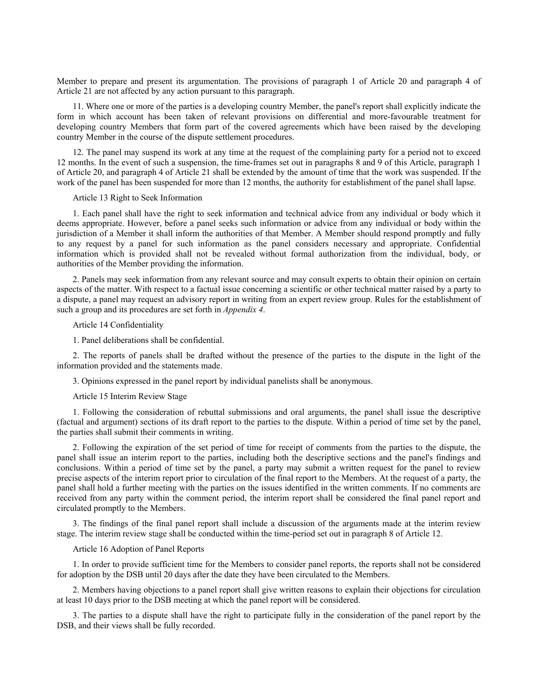Member to prepare and present its argumentation. The provisions of paragraph 1 of Article 20 and paragraph 4 of Article 21 are not affected by any action pursuant to this paragraph.

11. Where one or more of the parties is a developing country Member, the panel's report shall explicitly indicate the form in which account has been taken of relevant provisions on differential and more-favourable treatment for developing country Members that form part of the covered agreements which have been raised by the developing country Member in the course of the dispute settlement procedures.

12. The panel may suspend its work at any time at the request of the complaining party for a period not to exceed 12 months. In the event of such a suspension, the time-frames set out in paragraphs 8 and 9 of this Article, paragraph 1 of Article 20, and paragraph 4 of Article 21 shall be extended by the amount of time that the work was suspended. If the work of the panel has been suspended for more than 12 months, the authority for establishment of the panel shall lapse.

## Article 13 Right to Seek Information

1. Each panel shall have the right to seek information and technical advice from any individual or body which it deems appropriate. However, before a panel seeks such information or advice from any individual or body within the jurisdiction of a Member it shall inform the authorities of that Member. A Member should respond promptly and fully to any request by a panel for such information as the panel considers necessary and appropriate. Confidential information which is provided shall not be revealed without formal authorization from the individual, body, or authorities of the Member providing the information.

2. Panels may seek information from any relevant source and may consult experts to obtain their opinion on certain aspects of the matter. With respect to a factual issue concerning a scientific or other technical matter raised by a party to a dispute, a panel may request an advisory report in writing from an expert review group. Rules for the establishment of such a group and its procedures are set forth in *Appendix 4*.

#### Article 14 Confidentiality

1. Panel deliberations shall be confidential.

2. The reports of panels shall be drafted without the presence of the parties to the dispute in the light of the information provided and the statements made.

3. Opinions expressed in the panel report by individual panelists shall be anonymous.

### Article 15 Interim Review Stage

1. Following the consideration of rebuttal submissions and oral arguments, the panel shall issue the descriptive (factual and argument) sections of its draft report to the parties to the dispute. Within a period of time set by the panel, the parties shall submit their comments in writing.

2. Following the expiration of the set period of time for receipt of comments from the parties to the dispute, the panel shall issue an interim report to the parties, including both the descriptive sections and the panel's findings and conclusions. Within a period of time set by the panel, a party may submit a written request for the panel to review precise aspects of the interim report prior to circulation of the final report to the Members. At the request of a party, the panel shall hold a further meeting with the parties on the issues identified in the written comments. If no comments are received from any party within the comment period, the interim report shall be considered the final panel report and circulated promptly to the Members.

3. The findings of the final panel report shall include a discussion of the arguments made at the interim review stage. The interim review stage shall be conducted within the time-period set out in paragraph 8 of Article 12.

#### Article 16 Adoption of Panel Reports

1. In order to provide sufficient time for the Members to consider panel reports, the reports shall not be considered for adoption by the DSB until 20 days after the date they have been circulated to the Members.

2. Members having objections to a panel report shall give written reasons to explain their objections for circulation at least 10 days prior to the DSB meeting at which the panel report will be considered.

3. The parties to a dispute shall have the right to participate fully in the consideration of the panel report by the DSB, and their views shall be fully recorded.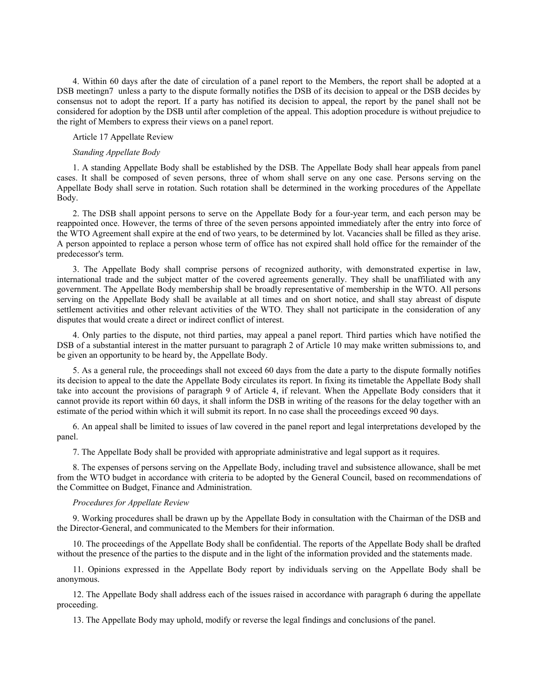4. Within 60 days after the date of circulation of a panel report to the Members, the report shall be adopted at a DSB meetingn7 unless a party to the dispute formally notifies the DSB of its decision to appeal or the DSB decides by consensus not to adopt the report. If a party has notified its decision to appeal, the report by the panel shall not be considered for adoption by the DSB until after completion of the appeal. This adoption procedure is without prejudice to the right of Members to express their views on a panel report.

Article 17 Appellate Review

#### *Standing Appellate Body*

1. A standing Appellate Body shall be established by the DSB. The Appellate Body shall hear appeals from panel cases. It shall be composed of seven persons, three of whom shall serve on any one case. Persons serving on the Appellate Body shall serve in rotation. Such rotation shall be determined in the working procedures of the Appellate Body.

2. The DSB shall appoint persons to serve on the Appellate Body for a four-year term, and each person may be reappointed once. However, the terms of three of the seven persons appointed immediately after the entry into force of the WTO Agreement shall expire at the end of two years, to be determined by lot. Vacancies shall be filled as they arise. A person appointed to replace a person whose term of office has not expired shall hold office for the remainder of the predecessor's term.

3. The Appellate Body shall comprise persons of recognized authority, with demonstrated expertise in law, international trade and the subject matter of the covered agreements generally. They shall be unaffiliated with any government. The Appellate Body membership shall be broadly representative of membership in the WTO. All persons serving on the Appellate Body shall be available at all times and on short notice, and shall stay abreast of dispute settlement activities and other relevant activities of the WTO. They shall not participate in the consideration of any disputes that would create a direct or indirect conflict of interest.

4. Only parties to the dispute, not third parties, may appeal a panel report. Third parties which have notified the DSB of a substantial interest in the matter pursuant to paragraph 2 of Article 10 may make written submissions to, and be given an opportunity to be heard by, the Appellate Body.

5. As a general rule, the proceedings shall not exceed 60 days from the date a party to the dispute formally notifies its decision to appeal to the date the Appellate Body circulates its report. In fixing its timetable the Appellate Body shall take into account the provisions of paragraph 9 of Article 4, if relevant. When the Appellate Body considers that it cannot provide its report within 60 days, it shall inform the DSB in writing of the reasons for the delay together with an estimate of the period within which it will submit its report. In no case shall the proceedings exceed 90 days.

6. An appeal shall be limited to issues of law covered in the panel report and legal interpretations developed by the panel.

7. The Appellate Body shall be provided with appropriate administrative and legal support as it requires.

8. The expenses of persons serving on the Appellate Body, including travel and subsistence allowance, shall be met from the WTO budget in accordance with criteria to be adopted by the General Council, based on recommendations of the Committee on Budget, Finance and Administration.

#### *Procedures for Appellate Review*

9. Working procedures shall be drawn up by the Appellate Body in consultation with the Chairman of the DSB and the Director-General, and communicated to the Members for their information.

10. The proceedings of the Appellate Body shall be confidential. The reports of the Appellate Body shall be drafted without the presence of the parties to the dispute and in the light of the information provided and the statements made.

11. Opinions expressed in the Appellate Body report by individuals serving on the Appellate Body shall be anonymous.

12. The Appellate Body shall address each of the issues raised in accordance with paragraph 6 during the appellate proceeding.

13. The Appellate Body may uphold, modify or reverse the legal findings and conclusions of the panel.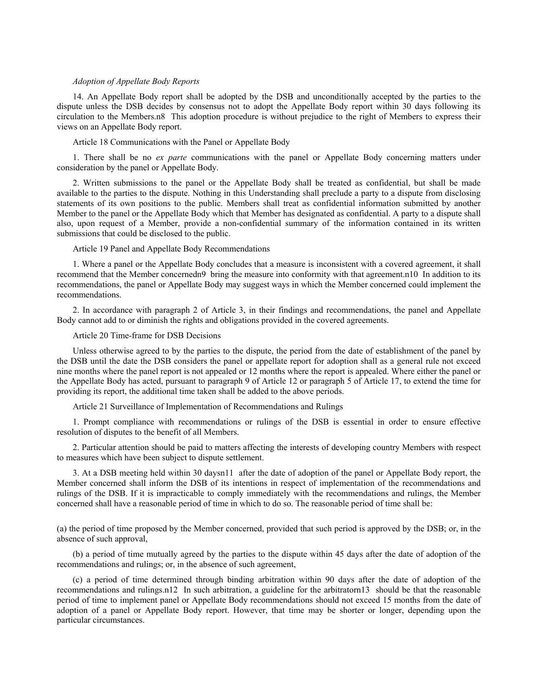### *Adoption of Appellate Body Reports*

14. An Appellate Body report shall be adopted by the DSB and unconditionally accepted by the parties to the dispute unless the DSB decides by consensus not to adopt the Appellate Body report within 30 days following its circulation to the Members.n8 This adoption procedure is without prejudice to the right of Members to express their views on an Appellate Body report.

### Article 18 Communications with the Panel or Appellate Body

1. There shall be no *ex parte* communications with the panel or Appellate Body concerning matters under consideration by the panel or Appellate Body.

2. Written submissions to the panel or the Appellate Body shall be treated as confidential, but shall be made available to the parties to the dispute. Nothing in this Understanding shall preclude a party to a dispute from disclosing statements of its own positions to the public. Members shall treat as confidential information submitted by another Member to the panel or the Appellate Body which that Member has designated as confidential. A party to a dispute shall also, upon request of a Member, provide a non-confidential summary of the information contained in its written submissions that could be disclosed to the public.

Article 19 Panel and Appellate Body Recommendations

1. Where a panel or the Appellate Body concludes that a measure is inconsistent with a covered agreement, it shall recommend that the Member concernedn9 bring the measure into conformity with that agreement.n10 In addition to its recommendations, the panel or Appellate Body may suggest ways in which the Member concerned could implement the recommendations.

2. In accordance with paragraph 2 of Article 3, in their findings and recommendations, the panel and Appellate Body cannot add to or diminish the rights and obligations provided in the covered agreements.

Article 20 Time-frame for DSB Decisions

Unless otherwise agreed to by the parties to the dispute, the period from the date of establishment of the panel by the DSB until the date the DSB considers the panel or appellate report for adoption shall as a general rule not exceed nine months where the panel report is not appealed or 12 months where the report is appealed. Where either the panel or the Appellate Body has acted, pursuant to paragraph 9 of Article 12 or paragraph 5 of Article 17, to extend the time for providing its report, the additional time taken shall be added to the above periods.

Article 21 Surveillance of Implementation of Recommendations and Rulings

1. Prompt compliance with recommendations or rulings of the DSB is essential in order to ensure effective resolution of disputes to the benefit of all Members.

2. Particular attention should be paid to matters affecting the interests of developing country Members with respect to measures which have been subject to dispute settlement.

3. At a DSB meeting held within 30 daysn11 after the date of adoption of the panel or Appellate Body report, the Member concerned shall inform the DSB of its intentions in respect of implementation of the recommendations and rulings of the DSB. If it is impracticable to comply immediately with the recommendations and rulings, the Member concerned shall have a reasonable period of time in which to do so. The reasonable period of time shall be:

(a) the period of time proposed by the Member concerned, provided that such period is approved by the DSB; or, in the absence of such approval,

(b) a period of time mutually agreed by the parties to the dispute within 45 days after the date of adoption of the recommendations and rulings; or, in the absence of such agreement,

(c) a period of time determined through binding arbitration within 90 days after the date of adoption of the recommendations and rulings.n12 In such arbitration, a guideline for the arbitratorn13 should be that the reasonable period of time to implement panel or Appellate Body recommendations should not exceed 15 months from the date of adoption of a panel or Appellate Body report. However, that time may be shorter or longer, depending upon the particular circumstances.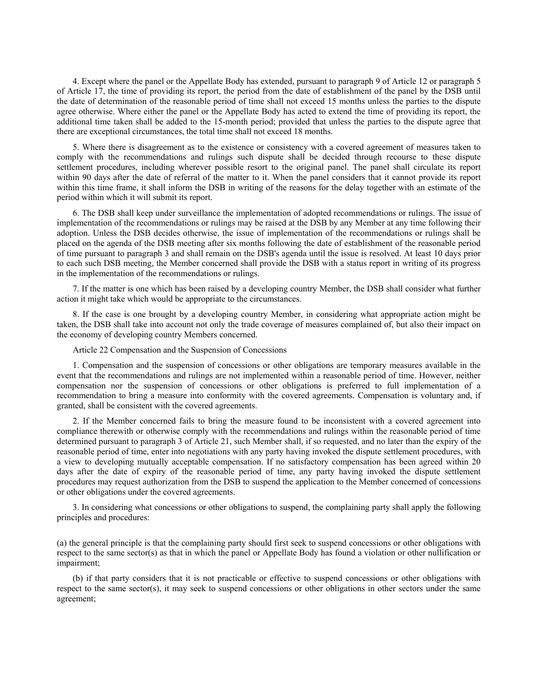4. Except where the panel or the Appellate Body has extended, pursuant to paragraph 9 of Article 12 or paragraph 5 of Article 17, the time of providing its report, the period from the date of establishment of the panel by the DSB until the date of determination of the reasonable period of time shall not exceed 15 months unless the parties to the dispute agree otherwise. Where either the panel or the Appellate Body has acted to extend the time of providing its report, the additional time taken shall be added to the 15-month period; provided that unless the parties to the dispute agree that there are exceptional circumstances, the total time shall not exceed 18 months.

5. Where there is disagreement as to the existence or consistency with a covered agreement of measures taken to comply with the recommendations and rulings such dispute shall be decided through recourse to these dispute settlement procedures, including wherever possible resort to the original panel. The panel shall circulate its report within 90 days after the date of referral of the matter to it. When the panel considers that it cannot provide its report within this time frame, it shall inform the DSB in writing of the reasons for the delay together with an estimate of the period within which it will submit its report.

6. The DSB shall keep under surveillance the implementation of adopted recommendations or rulings. The issue of implementation of the recommendations or rulings may be raised at the DSB by any Member at any time following their adoption. Unless the DSB decides otherwise, the issue of implementation of the recommendations or rulings shall be placed on the agenda of the DSB meeting after six months following the date of establishment of the reasonable period of time pursuant to paragraph 3 and shall remain on the DSB's agenda until the issue is resolved. At least 10 days prior to each such DSB meeting, the Member concerned shall provide the DSB with a status report in writing of its progress in the implementation of the recommendations or rulings.

7. If the matter is one which has been raised by a developing country Member, the DSB shall consider what further action it might take which would be appropriate to the circumstances.

8. If the case is one brought by a developing country Member, in considering what appropriate action might be taken, the DSB shall take into account not only the trade coverage of measures complained of, but also their impact on the economy of developing country Members concerned.

Article 22 Compensation and the Suspension of Concessions

1. Compensation and the suspension of concessions or other obligations are temporary measures available in the event that the recommendations and rulings are not implemented within a reasonable period of time. However, neither compensation nor the suspension of concessions or other obligations is preferred to full implementation of a recommendation to bring a measure into conformity with the covered agreements. Compensation is voluntary and, if granted, shall be consistent with the covered agreements.

2. If the Member concerned fails to bring the measure found to be inconsistent with a covered agreement into compliance therewith or otherwise comply with the recommendations and rulings within the reasonable period of time determined pursuant to paragraph 3 of Article 21, such Member shall, if so requested, and no later than the expiry of the reasonable period of time, enter into negotiations with any party having invoked the dispute settlement procedures, with a view to developing mutually acceptable compensation. If no satisfactory compensation has been agreed within 20 days after the date of expiry of the reasonable period of time, any party having invoked the dispute settlement procedures may request authorization from the DSB to suspend the application to the Member concerned of concessions or other obligations under the covered agreements.

3. In considering what concessions or other obligations to suspend, the complaining party shall apply the following principles and procedures:

(a) the general principle is that the complaining party should first seek to suspend concessions or other obligations with respect to the same sector(s) as that in which the panel or Appellate Body has found a violation or other nullification or impairment;

(b) if that party considers that it is not practicable or effective to suspend concessions or other obligations with respect to the same sector(s), it may seek to suspend concessions or other obligations in other sectors under the same agreement;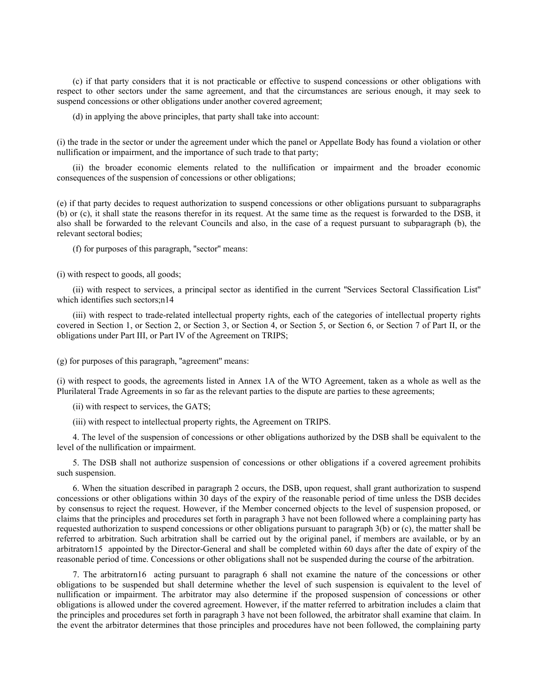(c) if that party considers that it is not practicable or effective to suspend concessions or other obligations with respect to other sectors under the same agreement, and that the circumstances are serious enough, it may seek to suspend concessions or other obligations under another covered agreement;

(d) in applying the above principles, that party shall take into account:

(i) the trade in the sector or under the agreement under which the panel or Appellate Body has found a violation or other nullification or impairment, and the importance of such trade to that party;

(ii) the broader economic elements related to the nullification or impairment and the broader economic consequences of the suspension of concessions or other obligations;

(e) if that party decides to request authorization to suspend concessions or other obligations pursuant to subparagraphs (b) or (c), it shall state the reasons therefor in its request. At the same time as the request is forwarded to the DSB, it also shall be forwarded to the relevant Councils and also, in the case of a request pursuant to subparagraph (b), the relevant sectoral bodies;

(f) for purposes of this paragraph, ''sector'' means:

(i) with respect to goods, all goods;

(ii) with respect to services, a principal sector as identified in the current ''Services Sectoral Classification List'' which identifies such sectors;n14

(iii) with respect to trade-related intellectual property rights, each of the categories of intellectual property rights covered in Section 1, or Section 2, or Section 3, or Section 4, or Section 5, or Section 6, or Section 7 of Part II, or the obligations under Part III, or Part IV of the Agreement on TRIPS;

(g) for purposes of this paragraph, ''agreement'' means:

(i) with respect to goods, the agreements listed in Annex 1A of the WTO Agreement, taken as a whole as well as the Plurilateral Trade Agreements in so far as the relevant parties to the dispute are parties to these agreements;

(ii) with respect to services, the GATS;

(iii) with respect to intellectual property rights, the Agreement on TRIPS.

4. The level of the suspension of concessions or other obligations authorized by the DSB shall be equivalent to the level of the nullification or impairment.

5. The DSB shall not authorize suspension of concessions or other obligations if a covered agreement prohibits such suspension.

6. When the situation described in paragraph 2 occurs, the DSB, upon request, shall grant authorization to suspend concessions or other obligations within 30 days of the expiry of the reasonable period of time unless the DSB decides by consensus to reject the request. However, if the Member concerned objects to the level of suspension proposed, or claims that the principles and procedures set forth in paragraph 3 have not been followed where a complaining party has requested authorization to suspend concessions or other obligations pursuant to paragraph 3(b) or (c), the matter shall be referred to arbitration. Such arbitration shall be carried out by the original panel, if members are available, or by an arbitratorn15 appointed by the Director-General and shall be completed within 60 days after the date of expiry of the reasonable period of time. Concessions or other obligations shall not be suspended during the course of the arbitration.

7. The arbitratorn16 acting pursuant to paragraph 6 shall not examine the nature of the concessions or other obligations to be suspended but shall determine whether the level of such suspension is equivalent to the level of nullification or impairment. The arbitrator may also determine if the proposed suspension of concessions or other obligations is allowed under the covered agreement. However, if the matter referred to arbitration includes a claim that the principles and procedures set forth in paragraph 3 have not been followed, the arbitrator shall examine that claim. In the event the arbitrator determines that those principles and procedures have not been followed, the complaining party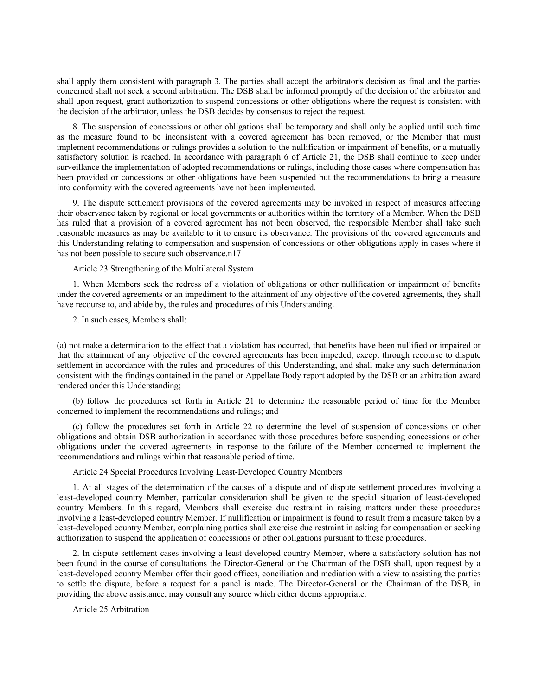shall apply them consistent with paragraph 3. The parties shall accept the arbitrator's decision as final and the parties concerned shall not seek a second arbitration. The DSB shall be informed promptly of the decision of the arbitrator and shall upon request, grant authorization to suspend concessions or other obligations where the request is consistent with the decision of the arbitrator, unless the DSB decides by consensus to reject the request.

8. The suspension of concessions or other obligations shall be temporary and shall only be applied until such time as the measure found to be inconsistent with a covered agreement has been removed, or the Member that must implement recommendations or rulings provides a solution to the nullification or impairment of benefits, or a mutually satisfactory solution is reached. In accordance with paragraph 6 of Article 21, the DSB shall continue to keep under surveillance the implementation of adopted recommendations or rulings, including those cases where compensation has been provided or concessions or other obligations have been suspended but the recommendations to bring a measure into conformity with the covered agreements have not been implemented.

9. The dispute settlement provisions of the covered agreements may be invoked in respect of measures affecting their observance taken by regional or local governments or authorities within the territory of a Member. When the DSB has ruled that a provision of a covered agreement has not been observed, the responsible Member shall take such reasonable measures as may be available to it to ensure its observance. The provisions of the covered agreements and this Understanding relating to compensation and suspension of concessions or other obligations apply in cases where it has not been possible to secure such observance.n17

Article 23 Strengthening of the Multilateral System

1. When Members seek the redress of a violation of obligations or other nullification or impairment of benefits under the covered agreements or an impediment to the attainment of any objective of the covered agreements, they shall have recourse to, and abide by, the rules and procedures of this Understanding.

2. In such cases, Members shall:

(a) not make a determination to the effect that a violation has occurred, that benefits have been nullified or impaired or that the attainment of any objective of the covered agreements has been impeded, except through recourse to dispute settlement in accordance with the rules and procedures of this Understanding, and shall make any such determination consistent with the findings contained in the panel or Appellate Body report adopted by the DSB or an arbitration award rendered under this Understanding;

(b) follow the procedures set forth in Article 21 to determine the reasonable period of time for the Member concerned to implement the recommendations and rulings; and

(c) follow the procedures set forth in Article 22 to determine the level of suspension of concessions or other obligations and obtain DSB authorization in accordance with those procedures before suspending concessions or other obligations under the covered agreements in response to the failure of the Member concerned to implement the recommendations and rulings within that reasonable period of time.

Article 24 Special Procedures Involving Least-Developed Country Members

1. At all stages of the determination of the causes of a dispute and of dispute settlement procedures involving a least-developed country Member, particular consideration shall be given to the special situation of least-developed country Members. In this regard, Members shall exercise due restraint in raising matters under these procedures involving a least-developed country Member. If nullification or impairment is found to result from a measure taken by a least-developed country Member, complaining parties shall exercise due restraint in asking for compensation or seeking authorization to suspend the application of concessions or other obligations pursuant to these procedures.

2. In dispute settlement cases involving a least-developed country Member, where a satisfactory solution has not been found in the course of consultations the Director-General or the Chairman of the DSB shall, upon request by a least-developed country Member offer their good offices, conciliation and mediation with a view to assisting the parties to settle the dispute, before a request for a panel is made. The Director-General or the Chairman of the DSB, in providing the above assistance, may consult any source which either deems appropriate.

Article 25 Arbitration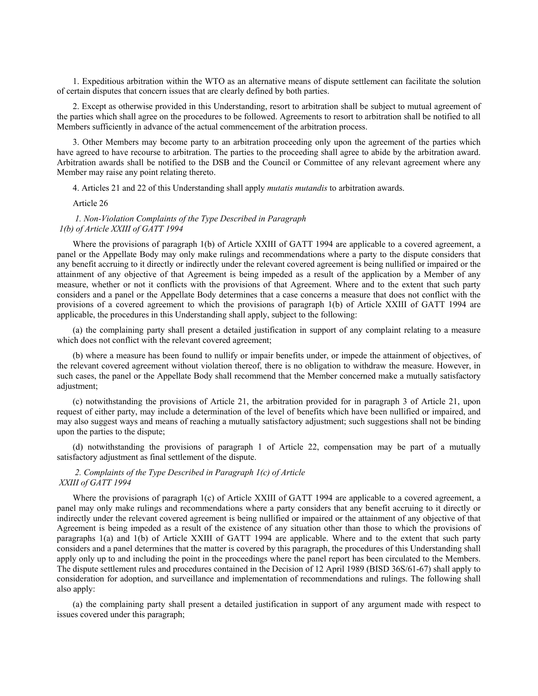1. Expeditious arbitration within the WTO as an alternative means of dispute settlement can facilitate the solution of certain disputes that concern issues that are clearly defined by both parties.

2. Except as otherwise provided in this Understanding, resort to arbitration shall be subject to mutual agreement of the parties which shall agree on the procedures to be followed. Agreements to resort to arbitration shall be notified to all Members sufficiently in advance of the actual commencement of the arbitration process.

3. Other Members may become party to an arbitration proceeding only upon the agreement of the parties which have agreed to have recourse to arbitration. The parties to the proceeding shall agree to abide by the arbitration award. Arbitration awards shall be notified to the DSB and the Council or Committee of any relevant agreement where any Member may raise any point relating thereto.

4. Articles 21 and 22 of this Understanding shall apply *mutatis mutandis* to arbitration awards.

Article 26

 *1. Non-Violation Complaints of the Type Described in Paragraph 1(b) of Article XXIII of GATT 1994* 

Where the provisions of paragraph 1(b) of Article XXIII of GATT 1994 are applicable to a covered agreement, a panel or the Appellate Body may only make rulings and recommendations where a party to the dispute considers that any benefit accruing to it directly or indirectly under the relevant covered agreement is being nullified or impaired or the attainment of any objective of that Agreement is being impeded as a result of the application by a Member of any measure, whether or not it conflicts with the provisions of that Agreement. Where and to the extent that such party considers and a panel or the Appellate Body determines that a case concerns a measure that does not conflict with the provisions of a covered agreement to which the provisions of paragraph 1(b) of Article XXIII of GATT 1994 are applicable, the procedures in this Understanding shall apply, subject to the following:

(a) the complaining party shall present a detailed justification in support of any complaint relating to a measure which does not conflict with the relevant covered agreement;

(b) where a measure has been found to nullify or impair benefits under, or impede the attainment of objectives, of the relevant covered agreement without violation thereof, there is no obligation to withdraw the measure. However, in such cases, the panel or the Appellate Body shall recommend that the Member concerned make a mutually satisfactory adjustment;

(c) notwithstanding the provisions of Article 21, the arbitration provided for in paragraph 3 of Article 21, upon request of either party, may include a determination of the level of benefits which have been nullified or impaired, and may also suggest ways and means of reaching a mutually satisfactory adjustment; such suggestions shall not be binding upon the parties to the dispute;

(d) notwithstanding the provisions of paragraph 1 of Article 22, compensation may be part of a mutually satisfactory adjustment as final settlement of the dispute.

### *2. Complaints of the Type Described in Paragraph 1(c) of Article XXIII of GATT 1994*

Where the provisions of paragraph 1(c) of Article XXIII of GATT 1994 are applicable to a covered agreement, a panel may only make rulings and recommendations where a party considers that any benefit accruing to it directly or indirectly under the relevant covered agreement is being nullified or impaired or the attainment of any objective of that Agreement is being impeded as a result of the existence of any situation other than those to which the provisions of paragraphs 1(a) and 1(b) of Article XXIII of GATT 1994 are applicable. Where and to the extent that such party considers and a panel determines that the matter is covered by this paragraph, the procedures of this Understanding shall apply only up to and including the point in the proceedings where the panel report has been circulated to the Members. The dispute settlement rules and procedures contained in the Decision of 12 April 1989 (BISD 36S/61-67) shall apply to consideration for adoption, and surveillance and implementation of recommendations and rulings. The following shall also apply:

(a) the complaining party shall present a detailed justification in support of any argument made with respect to issues covered under this paragraph;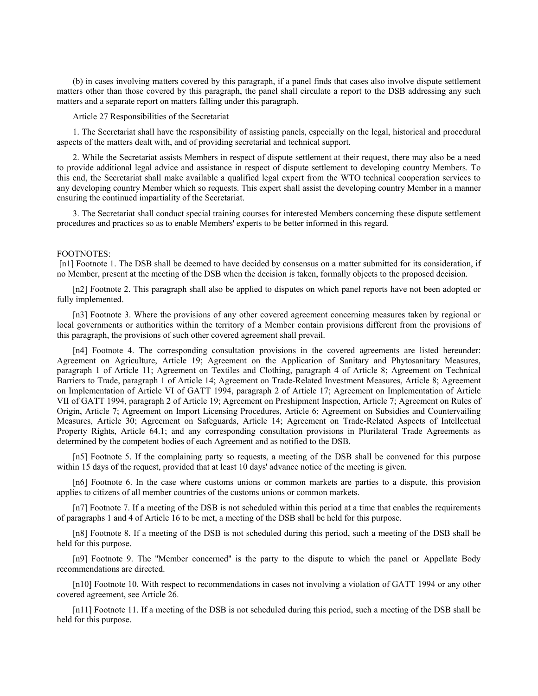(b) in cases involving matters covered by this paragraph, if a panel finds that cases also involve dispute settlement matters other than those covered by this paragraph, the panel shall circulate a report to the DSB addressing any such matters and a separate report on matters falling under this paragraph.

# Article 27 Responsibilities of the Secretariat

1. The Secretariat shall have the responsibility of assisting panels, especially on the legal, historical and procedural aspects of the matters dealt with, and of providing secretarial and technical support.

2. While the Secretariat assists Members in respect of dispute settlement at their request, there may also be a need to provide additional legal advice and assistance in respect of dispute settlement to developing country Members. To this end, the Secretariat shall make available a qualified legal expert from the WTO technical cooperation services to any developing country Member which so requests. This expert shall assist the developing country Member in a manner ensuring the continued impartiality of the Secretariat.

3. The Secretariat shall conduct special training courses for interested Members concerning these dispute settlement procedures and practices so as to enable Members' experts to be better informed in this regard.

#### FOOTNOTES:

 [n1] Footnote 1. The DSB shall be deemed to have decided by consensus on a matter submitted for its consideration, if no Member, present at the meeting of the DSB when the decision is taken, formally objects to the proposed decision.

[n2] Footnote 2. This paragraph shall also be applied to disputes on which panel reports have not been adopted or fully implemented.

[n3] Footnote 3. Where the provisions of any other covered agreement concerning measures taken by regional or local governments or authorities within the territory of a Member contain provisions different from the provisions of this paragraph, the provisions of such other covered agreement shall prevail.

[n4] Footnote 4. The corresponding consultation provisions in the covered agreements are listed hereunder: Agreement on Agriculture, Article 19; Agreement on the Application of Sanitary and Phytosanitary Measures, paragraph 1 of Article 11; Agreement on Textiles and Clothing, paragraph 4 of Article 8; Agreement on Technical Barriers to Trade, paragraph 1 of Article 14; Agreement on Trade-Related Investment Measures, Article 8; Agreement on Implementation of Article VI of GATT 1994, paragraph 2 of Article 17; Agreement on Implementation of Article VII of GATT 1994, paragraph 2 of Article 19; Agreement on Preshipment Inspection, Article 7; Agreement on Rules of Origin, Article 7; Agreement on Import Licensing Procedures, Article 6; Agreement on Subsidies and Countervailing Measures, Article 30; Agreement on Safeguards, Article 14; Agreement on Trade-Related Aspects of Intellectual Property Rights, Article 64.1; and any corresponding consultation provisions in Plurilateral Trade Agreements as determined by the competent bodies of each Agreement and as notified to the DSB.

[n5] Footnote 5. If the complaining party so requests, a meeting of the DSB shall be convened for this purpose within 15 days of the request, provided that at least 10 days' advance notice of the meeting is given.

[n6] Footnote 6. In the case where customs unions or common markets are parties to a dispute, this provision applies to citizens of all member countries of the customs unions or common markets.

[n7] Footnote 7. If a meeting of the DSB is not scheduled within this period at a time that enables the requirements of paragraphs 1 and 4 of Article 16 to be met, a meeting of the DSB shall be held for this purpose.

[n8] Footnote 8. If a meeting of the DSB is not scheduled during this period, such a meeting of the DSB shall be held for this purpose.

[n9] Footnote 9. The ''Member concerned'' is the party to the dispute to which the panel or Appellate Body recommendations are directed.

[n10] Footnote 10. With respect to recommendations in cases not involving a violation of GATT 1994 or any other covered agreement, see Article 26.

[n11] Footnote 11. If a meeting of the DSB is not scheduled during this period, such a meeting of the DSB shall be held for this purpose.